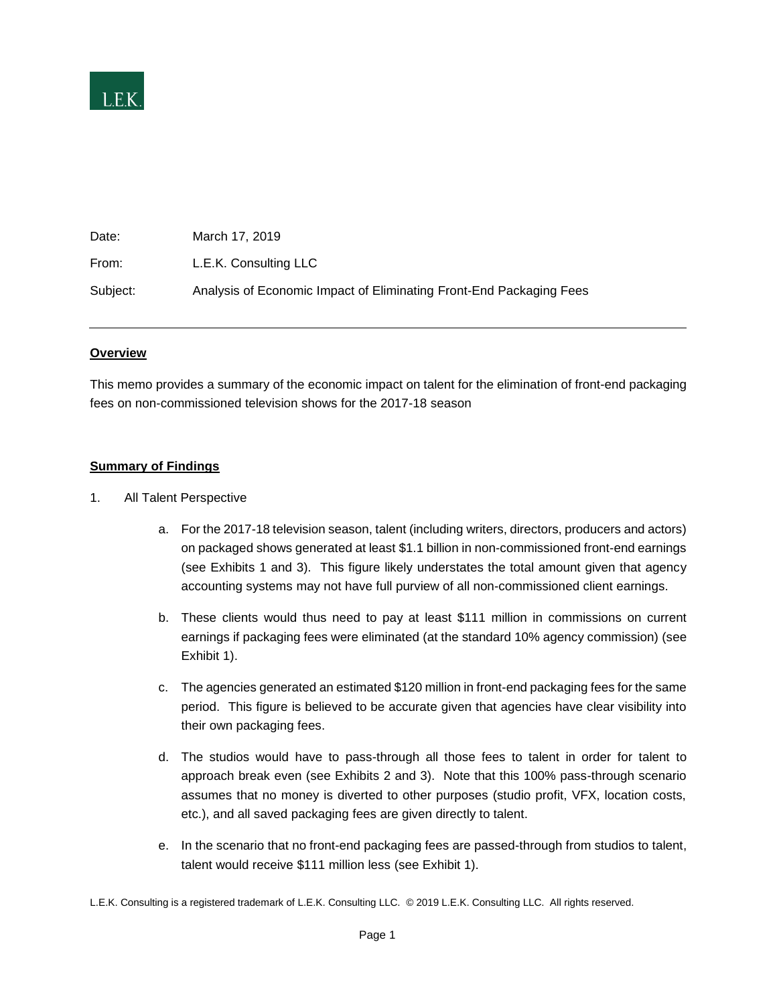

| Date:    | March 17, 2019                                                      |
|----------|---------------------------------------------------------------------|
| From:    | L.E.K. Consulting LLC                                               |
| Subject: | Analysis of Economic Impact of Eliminating Front-End Packaging Fees |

#### **Overview**

This memo provides a summary of the economic impact on talent for the elimination of front-end packaging fees on non-commissioned television shows for the 2017-18 season

### **Summary of Findings**

- 1. All Talent Perspective
	- a. For the 2017-18 television season, talent (including writers, directors, producers and actors) on packaged shows generated at least \$1.1 billion in non-commissioned front-end earnings (see Exhibits 1 and 3). This figure likely understates the total amount given that agency accounting systems may not have full purview of all non-commissioned client earnings.
	- b. These clients would thus need to pay at least \$111 million in commissions on current earnings if packaging fees were eliminated (at the standard 10% agency commission) (see Exhibit 1).
	- c. The agencies generated an estimated \$120 million in front-end packaging fees for the same period. This figure is believed to be accurate given that agencies have clear visibility into their own packaging fees.
	- d. The studios would have to pass-through all those fees to talent in order for talent to approach break even (see Exhibits 2 and 3). Note that this 100% pass-through scenario assumes that no money is diverted to other purposes (studio profit, VFX, location costs, etc.), and all saved packaging fees are given directly to talent.
	- e. In the scenario that no front-end packaging fees are passed-through from studios to talent, talent would receive \$111 million less (see Exhibit 1).

L.E.K. Consulting is a registered trademark of L.E.K. Consulting LLC. © 2019 L.E.K. Consulting LLC. All rights reserved.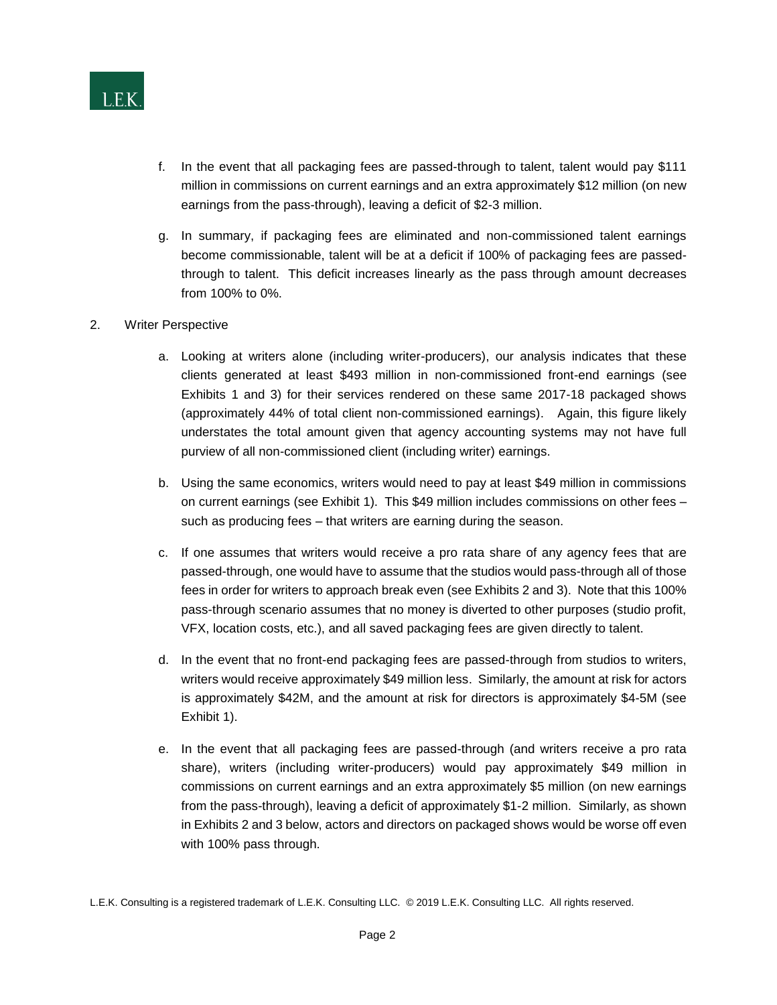

- f. In the event that all packaging fees are passed-through to talent, talent would pay \$111 million in commissions on current earnings and an extra approximately \$12 million (on new earnings from the pass-through), leaving a deficit of \$2-3 million.
- g. In summary, if packaging fees are eliminated and non-commissioned talent earnings become commissionable, talent will be at a deficit if 100% of packaging fees are passedthrough to talent. This deficit increases linearly as the pass through amount decreases from 100% to 0%.
- 2. Writer Perspective
	- a. Looking at writers alone (including writer-producers), our analysis indicates that these clients generated at least \$493 million in non-commissioned front-end earnings (see Exhibits 1 and 3) for their services rendered on these same 2017-18 packaged shows (approximately 44% of total client non-commissioned earnings). Again, this figure likely understates the total amount given that agency accounting systems may not have full purview of all non-commissioned client (including writer) earnings.
	- b. Using the same economics, writers would need to pay at least \$49 million in commissions on current earnings (see Exhibit 1). This \$49 million includes commissions on other fees – such as producing fees – that writers are earning during the season.
	- c. If one assumes that writers would receive a pro rata share of any agency fees that are passed-through, one would have to assume that the studios would pass-through all of those fees in order for writers to approach break even (see Exhibits 2 and 3). Note that this 100% pass-through scenario assumes that no money is diverted to other purposes (studio profit, VFX, location costs, etc.), and all saved packaging fees are given directly to talent.
	- d. In the event that no front-end packaging fees are passed-through from studios to writers, writers would receive approximately \$49 million less. Similarly, the amount at risk for actors is approximately \$42M, and the amount at risk for directors is approximately \$4-5M (see Exhibit 1).
	- e. In the event that all packaging fees are passed-through (and writers receive a pro rata share), writers (including writer-producers) would pay approximately \$49 million in commissions on current earnings and an extra approximately \$5 million (on new earnings from the pass-through), leaving a deficit of approximately \$1-2 million. Similarly, as shown in Exhibits 2 and 3 below, actors and directors on packaged shows would be worse off even with 100% pass through.

L.E.K. Consulting is a registered trademark of L.E.K. Consulting LLC. © 2019 L.E.K. Consulting LLC. All rights reserved.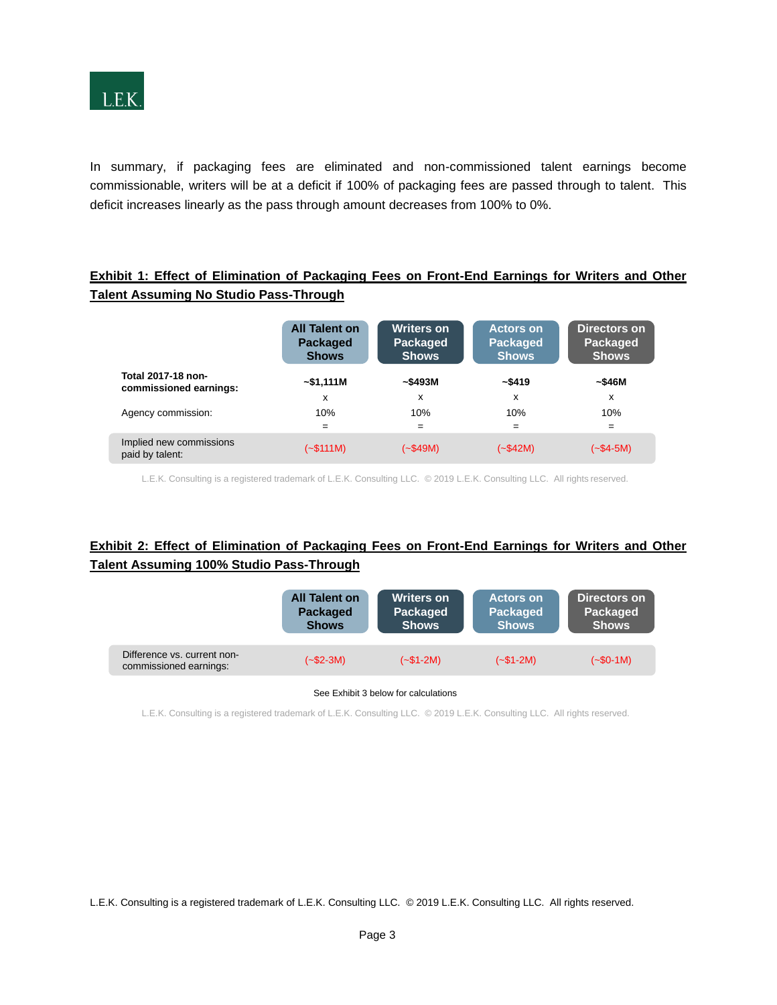

In summary, if packaging fees are eliminated and non-commissioned talent earnings become commissionable, writers will be at a deficit if 100% of packaging fees are passed through to talent. This deficit increases linearly as the pass through amount decreases from 100% to 0%.

### **Exhibit 1: Effect of Elimination of Packaging Fees on Front-End Earnings for Writers and Other Talent Assuming No Studio Pass-Through**

|                                              | <b>All Talent on</b><br><b>Packaged</b><br><b>Shows</b> | <b>Writers on</b><br><b>Packaged</b><br><b>Shows</b> | <b>Actors on</b><br><b>Packaged</b><br><b>Shows</b> | Directors on<br>Packaged<br><b>Shows</b> |
|----------------------------------------------|---------------------------------------------------------|------------------------------------------------------|-----------------------------------------------------|------------------------------------------|
| Total 2017-18 non-<br>commissioned earnings: | ~51,111M                                                | ~\$493M                                              | ~\$419                                              | ~546M                                    |
|                                              | x                                                       | х                                                    | x                                                   | x                                        |
| Agency commission:                           | 10%                                                     | 10%                                                  | 10%                                                 | 10%                                      |
|                                              | $=$                                                     | $=$                                                  | $=$                                                 | $=$                                      |
| Implied new commissions<br>paid by talent:   | (~\$111M)                                               | $(-$49M)$                                            | $(-\$42M)$                                          | (~\$4-5M)                                |

L.E.K. Consulting is a registered trademark of L.E.K. Consulting LLC. © 2019 L.E.K. Consulting LLC. All rights reserved.

## **Exhibit 2: Effect of Elimination of Packaging Fees on Front-End Earnings for Writers and Other Talent Assuming 100% Studio Pass-Through**

|                                                       | <b>All Talent on</b> | <b>Writers on</b> | <b>Actors on</b> | Directors on |
|-------------------------------------------------------|----------------------|-------------------|------------------|--------------|
|                                                       | Packaged             | Packaged          | <b>Packaged</b>  | Packaged     |
|                                                       | <b>Shows</b>         | <b>Shows</b>      | <b>Shows</b>     | <b>Shows</b> |
| Difference vs. current non-<br>commissioned earnings: | $(-\$2-3M)$          | $(-\$1-2M)$       | $(-\$1-2M)$      | $(-\$0-1M)$  |

**11 CONFIDENTIAL SEALTER CONFIDENTIAL SECULATE ATTACK PRODUCT:** See Exhibit 3 below for calculations

L.E.K. Consulting is a registered trademark of L.E.K. Consulting LLC. © 2019 L.E.K. Consulting LLC. All rights reserved.

L.E.K. Consulting is a registered trademark of L.E.K. Consulting LLC. © 2019 L.E.K. Consulting LLC. All rights reserved.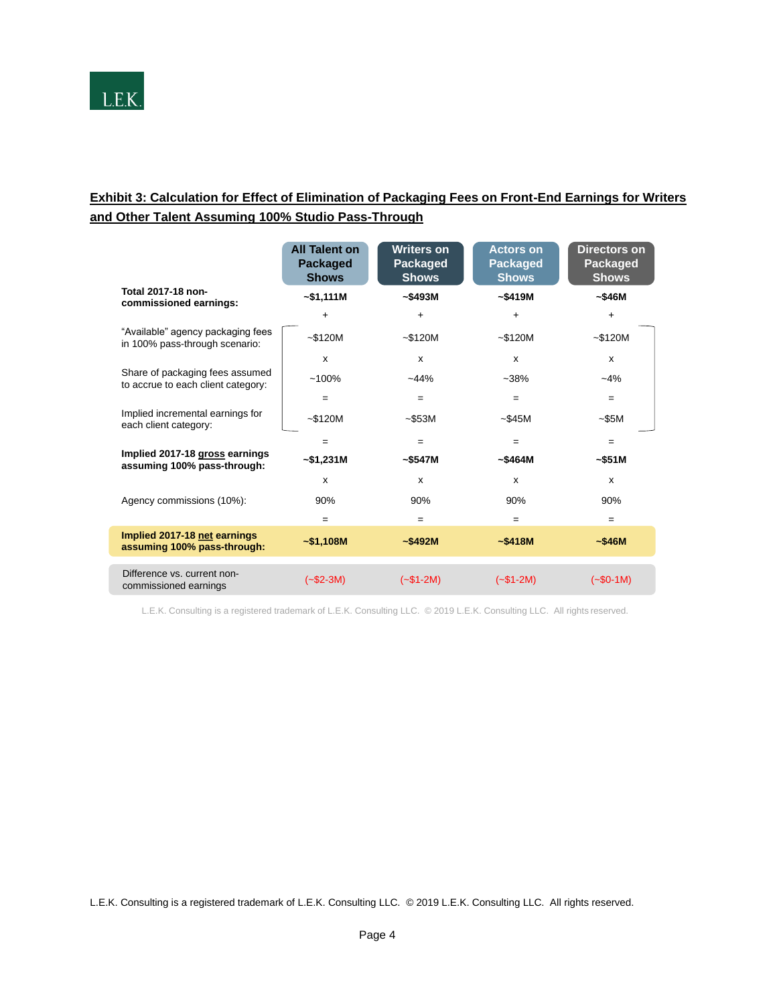

# **Exhibit 3: Calculation for Effect of Elimination of Packaging Fees on Front-End Earnings for Writers and Other Talent Assuming 100% Studio Pass-Through**

|                                                                       | <b>All Talent on</b><br>Packaged<br><b>Shows</b> | <b>Writers on</b><br>Packaged<br><b>Shows</b> | <b>Actors on</b><br><b>Packaged</b><br><b>Shows</b> | Directors on<br>Packaged<br><b>Shows</b> |
|-----------------------------------------------------------------------|--------------------------------------------------|-----------------------------------------------|-----------------------------------------------------|------------------------------------------|
| Total 2017-18 non-<br>commissioned earnings:                          | $-$1,111M$                                       | ~5493M                                        | ~5419M                                              | ~546M                                    |
|                                                                       | $\ddot{}$                                        | $\ddot{}$                                     | $\ddot{}$                                           | $\ddot{}$                                |
| "Available" agency packaging fees<br>in 100% pass-through scenario:   | $~-$120M$                                        | $-$120M$                                      | ~120M                                               | $-$120M$                                 |
|                                                                       | X                                                | X                                             | $\mathsf{x}$                                        | x                                        |
| Share of packaging fees assumed<br>to accrue to each client category: | $~100\%$                                         | $-44%$                                        | $-38%$                                              | $-4%$                                    |
|                                                                       | $=$                                              | $=$                                           | $=$                                                 | $=$                                      |
| Implied incremental earnings for<br>each client category:             | ~120M                                            | $-$ \$53M                                     | ~545M                                               | $-$ \$5M                                 |
|                                                                       | $=$                                              | $=$                                           | $=$                                                 | $=$                                      |
| Implied 2017-18 gross earnings<br>assuming 100% pass-through:         | $-$ \$1,231M                                     | ~5547M                                        | ~5464M                                              | ~551M                                    |
|                                                                       | X                                                | x                                             | $\mathsf{x}$                                        | X                                        |
| Agency commissions (10%):                                             | 90%                                              | 90%                                           | 90%                                                 | 90%                                      |
|                                                                       | $=$                                              | $=$                                           | $=$                                                 | $=$                                      |
| Implied 2017-18 net earnings<br>assuming 100% pass-through:           | $-$1,108M$                                       | ~1.5492M                                      | ~15418M                                             | ~546M                                    |
| Difference vs. current non-<br>commissioned earnings                  | $(-\$2-3M)$                                      | $(-\$1-2M)$                                   | $(-\$1-2M)$                                         | $(-\$0-1M)$                              |

L.E.K. Consulting is a registered trademark of L.E.K. Consulting LLC. © 2019 L.E.K. Consulting LLC. All rights reserved.

L.E.K. Consulting is a registered trademark of L.E.K. Consulting LLC. © 2019 L.E.K. Consulting LLC. All rights reserved.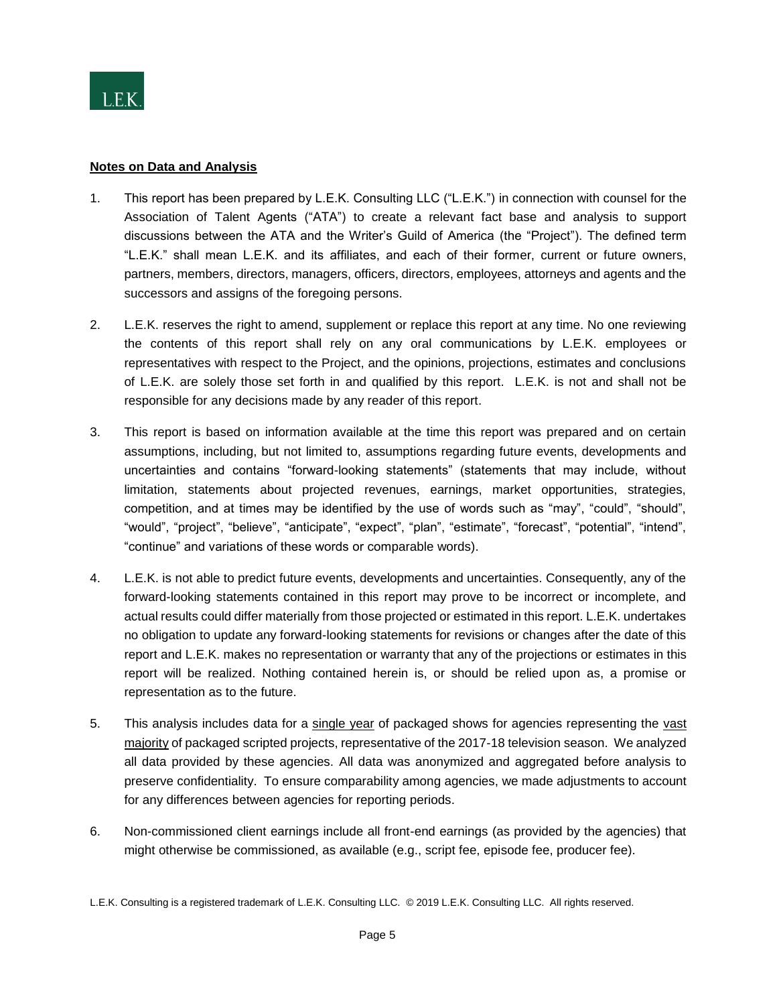

### **Notes on Data and Analysis**

- 1. This report has been prepared by L.E.K. Consulting LLC ("L.E.K.") in connection with counsel for the Association of Talent Agents ("ATA") to create a relevant fact base and analysis to support discussions between the ATA and the Writer's Guild of America (the "Project"). The defined term "L.E.K." shall mean L.E.K. and its affiliates, and each of their former, current or future owners, partners, members, directors, managers, officers, directors, employees, attorneys and agents and the successors and assigns of the foregoing persons.
- 2. L.E.K. reserves the right to amend, supplement or replace this report at any time. No one reviewing the contents of this report shall rely on any oral communications by L.E.K. employees or representatives with respect to the Project, and the opinions, projections, estimates and conclusions of L.E.K. are solely those set forth in and qualified by this report. L.E.K. is not and shall not be responsible for any decisions made by any reader of this report.
- 3. This report is based on information available at the time this report was prepared and on certain assumptions, including, but not limited to, assumptions regarding future events, developments and uncertainties and contains "forward-looking statements" (statements that may include, without limitation, statements about projected revenues, earnings, market opportunities, strategies, competition, and at times may be identified by the use of words such as "may", "could", "should", "would", "project", "believe", "anticipate", "expect", "plan", "estimate", "forecast", "potential", "intend", "continue" and variations of these words or comparable words).
- 4. L.E.K. is not able to predict future events, developments and uncertainties. Consequently, any of the forward-looking statements contained in this report may prove to be incorrect or incomplete, and actual results could differ materially from those projected or estimated in this report. L.E.K. undertakes no obligation to update any forward-looking statements for revisions or changes after the date of this report and L.E.K. makes no representation or warranty that any of the projections or estimates in this report will be realized. Nothing contained herein is, or should be relied upon as, a promise or representation as to the future.
- 5. This analysis includes data for a single year of packaged shows for agencies representing the vast majority of packaged scripted projects, representative of the 2017-18 television season. We analyzed all data provided by these agencies. All data was anonymized and aggregated before analysis to preserve confidentiality. To ensure comparability among agencies, we made adjustments to account for any differences between agencies for reporting periods.
- 6. Non-commissioned client earnings include all front-end earnings (as provided by the agencies) that might otherwise be commissioned, as available (e.g., script fee, episode fee, producer fee).

L.E.K. Consulting is a registered trademark of L.E.K. Consulting LLC. © 2019 L.E.K. Consulting LLC. All rights reserved.